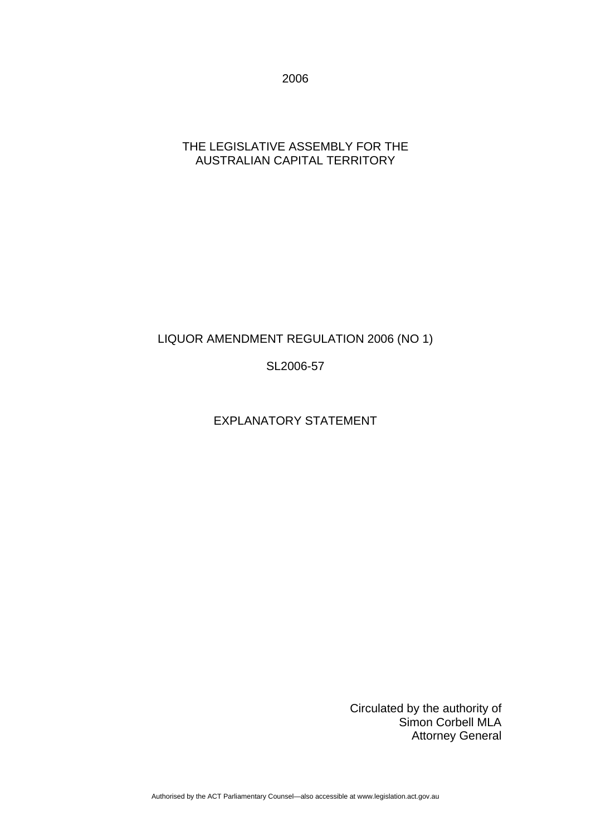2006

### THE LEGISLATIVE ASSEMBLY FOR THE AUSTRALIAN CAPITAL TERRITORY

## LIQUOR AMENDMENT REGULATION 2006 (NO 1)

### SL2006-57

## EXPLANATORY STATEMENT

Circulated by the authority of Simon Corbell MLA Attorney General